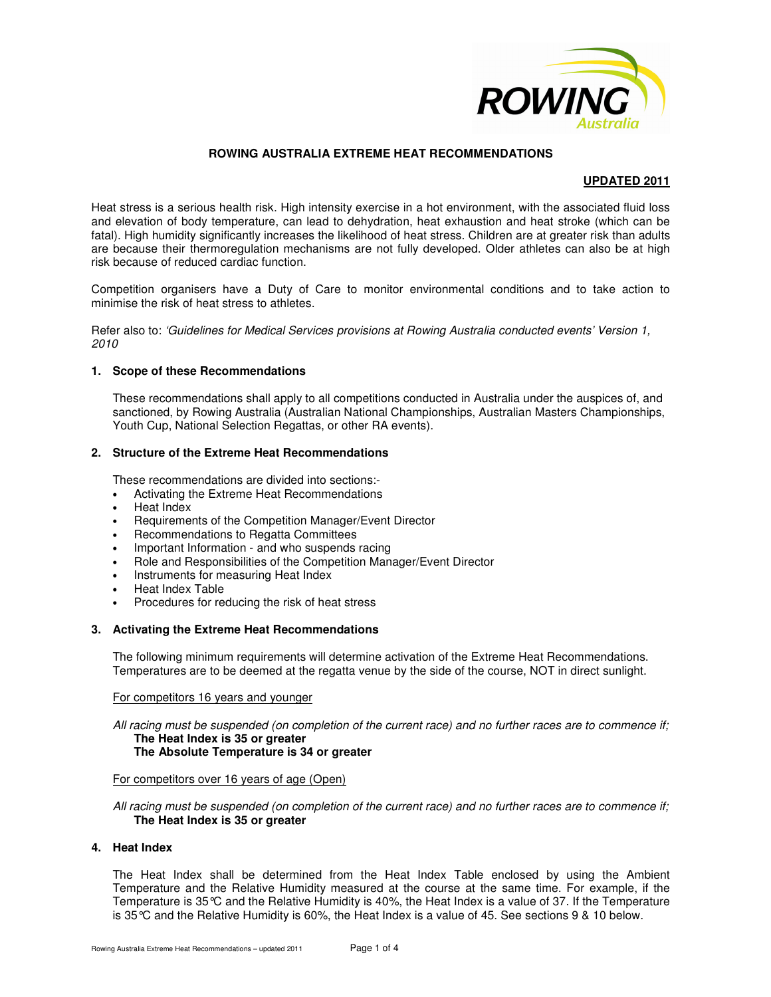

## **ROWING AUSTRALIA EXTREME HEAT RECOMMENDATIONS**

## **UPDATED 2011**

Heat stress is a serious health risk. High intensity exercise in a hot environment, with the associated fluid loss and elevation of body temperature, can lead to dehydration, heat exhaustion and heat stroke (which can be fatal). High humidity significantly increases the likelihood of heat stress. Children are at greater risk than adults are because their thermoregulation mechanisms are not fully developed. Older athletes can also be at high risk because of reduced cardiac function.

Competition organisers have a Duty of Care to monitor environmental conditions and to take action to minimise the risk of heat stress to athletes.

Refer also to: 'Guidelines for Medical Services provisions at Rowing Australia conducted events' Version 1, 2010

#### **1. Scope of these Recommendations**

These recommendations shall apply to all competitions conducted in Australia under the auspices of, and sanctioned, by Rowing Australia (Australian National Championships, Australian Masters Championships, Youth Cup, National Selection Regattas, or other RA events).

## **2. Structure of the Extreme Heat Recommendations**

These recommendations are divided into sections:-

- Activating the Extreme Heat Recommendations
- Heat Index
- Requirements of the Competition Manager/Event Director
- Recommendations to Regatta Committees
- Important Information and who suspends racing
- Role and Responsibilities of the Competition Manager/Event Director
- Instruments for measuring Heat Index
- Heat Index Table
- Procedures for reducing the risk of heat stress

#### **3. Activating the Extreme Heat Recommendations**

The following minimum requirements will determine activation of the Extreme Heat Recommendations. Temperatures are to be deemed at the regatta venue by the side of the course, NOT in direct sunlight.

#### For competitors 16 years and younger

All racing must be suspended (on completion of the current race) and no further races are to commence if; **The Heat Index is 35 or greater The Absolute Temperature is 34 or greater** 

### For competitors over 16 years of age (Open)

All racing must be suspended (on completion of the current race) and no further races are to commence if; **The Heat Index is 35 or greater** 

#### **4. Heat Index**

The Heat Index shall be determined from the Heat Index Table enclosed by using the Ambient Temperature and the Relative Humidity measured at the course at the same time. For example, if the Temperature is 35°C and the Relative Humidity is 40%, the Heat Index is a value of 37. If the Temperature is 35°C and the Relative Humidity is 60%, the Heat Index is a value of 45. See sections 9 & 10 below.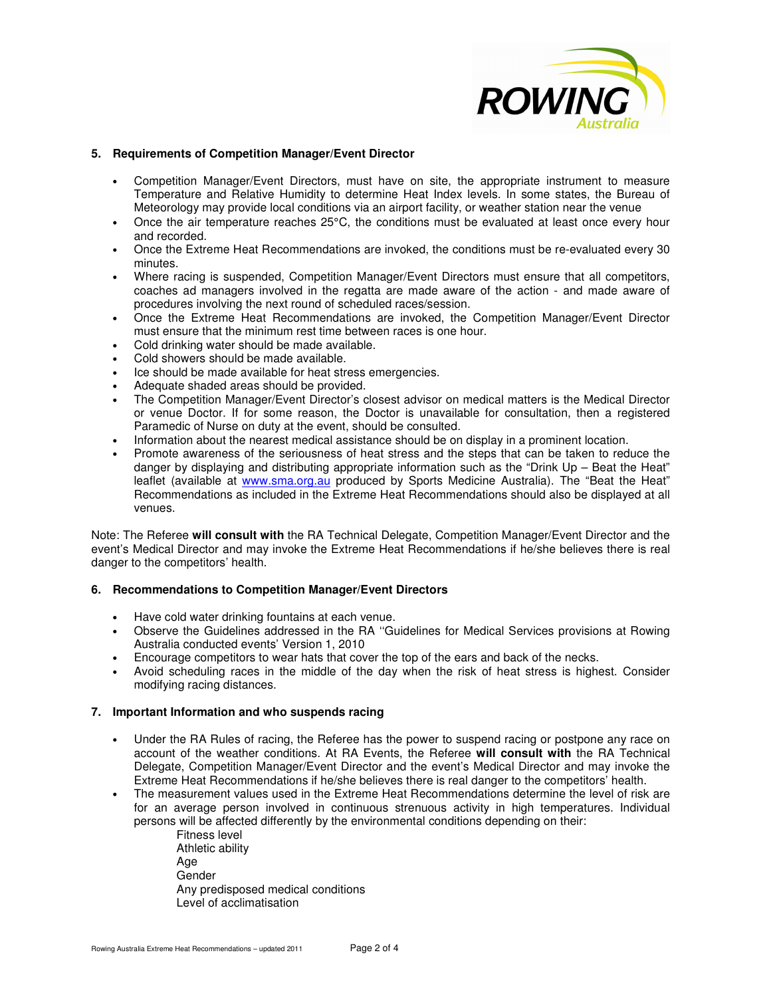

## **5. Requirements of Competition Manager/Event Director**

- Competition Manager/Event Directors, must have on site, the appropriate instrument to measure Temperature and Relative Humidity to determine Heat Index levels. In some states, the Bureau of Meteorology may provide local conditions via an airport facility, or weather station near the venue
- Once the air temperature reaches 25°C, the conditions must be evaluated at least once every hour and recorded.
- Once the Extreme Heat Recommendations are invoked, the conditions must be re-evaluated every 30 minutes.
- Where racing is suspended, Competition Manager/Event Directors must ensure that all competitors, coaches ad managers involved in the regatta are made aware of the action - and made aware of procedures involving the next round of scheduled races/session.
- Once the Extreme Heat Recommendations are invoked, the Competition Manager/Event Director must ensure that the minimum rest time between races is one hour.
- Cold drinking water should be made available.
- Cold showers should be made available.
- Ice should be made available for heat stress emergencies.
- Adequate shaded areas should be provided.
- The Competition Manager/Event Director's closest advisor on medical matters is the Medical Director or venue Doctor. If for some reason, the Doctor is unavailable for consultation, then a registered Paramedic of Nurse on duty at the event, should be consulted.
- Information about the nearest medical assistance should be on display in a prominent location.
- Promote awareness of the seriousness of heat stress and the steps that can be taken to reduce the danger by displaying and distributing appropriate information such as the "Drink Up – Beat the Heat" leaflet (available at www.sma.org.au produced by Sports Medicine Australia). The "Beat the Heat" Recommendations as included in the Extreme Heat Recommendations should also be displayed at all venues.

Note: The Referee **will consult with** the RA Technical Delegate, Competition Manager/Event Director and the event's Medical Director and may invoke the Extreme Heat Recommendations if he/she believes there is real danger to the competitors' health.

## **6. Recommendations to Competition Manager/Event Directors**

- Have cold water drinking fountains at each venue.
- Observe the Guidelines addressed in the RA ''Guidelines for Medical Services provisions at Rowing Australia conducted events' Version 1, 2010
- Encourage competitors to wear hats that cover the top of the ears and back of the necks.
- Avoid scheduling races in the middle of the day when the risk of heat stress is highest. Consider modifying racing distances.

## **7. Important Information and who suspends racing**

- Under the RA Rules of racing, the Referee has the power to suspend racing or postpone any race on account of the weather conditions. At RA Events, the Referee **will consult with** the RA Technical Delegate, Competition Manager/Event Director and the event's Medical Director and may invoke the Extreme Heat Recommendations if he/she believes there is real danger to the competitors' health.
- The measurement values used in the Extreme Heat Recommendations determine the level of risk are for an average person involved in continuous strenuous activity in high temperatures. Individual persons will be affected differently by the environmental conditions depending on their:

Fitness level Athletic ability Age Gender Any predisposed medical conditions Level of acclimatisation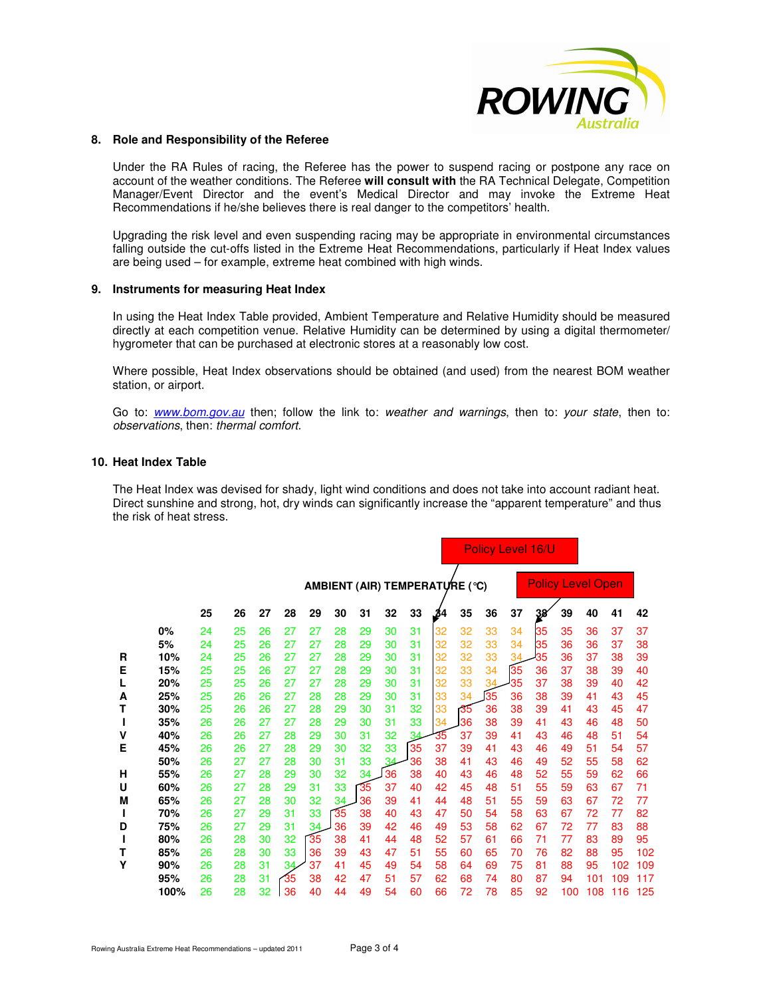

#### **8. Role and Responsibility of the Referee**

Under the RA Rules of racing, the Referee has the power to suspend racing or postpone any race on account of the weather conditions. The Referee **will consult with** the RA Technical Delegate, Competition Manager/Event Director and the event's Medical Director and may invoke the Extreme Heat Recommendations if he/she believes there is real danger to the competitors' health.

Upgrading the risk level and even suspending racing may be appropriate in environmental circumstances falling outside the cut-offs listed in the Extreme Heat Recommendations, particularly if Heat Index values are being used – for example, extreme heat combined with high winds.

#### **9. Instruments for measuring Heat Index**

In using the Heat Index Table provided, Ambient Temperature and Relative Humidity should be measured directly at each competition venue. Relative Humidity can be determined by using a digital thermometer/ hygrometer that can be purchased at electronic stores at a reasonably low cost.

Where possible, Heat Index observations should be obtained (and used) from the nearest BOM weather station, or airport.

Go to: www.bom.gov.au then; follow the link to: weather and warnings, then to: your state, then to: observations, then: thermal comfort.

## **10. Heat Index Table**

The Heat Index was devised for shady, light wind conditions and does not take into account radiant heat. Direct sunshine and strong, hot, dry winds can significantly increase the "apparent temperature" and thus the risk of heat stress.

|   |      |    |    |    |    |                                | Policy Level 16/U |    |    |    |     |    |    |    |     |     |                          |     |     |
|---|------|----|----|----|----|--------------------------------|-------------------|----|----|----|-----|----|----|----|-----|-----|--------------------------|-----|-----|
|   |      |    |    |    |    | AMBIENT (AIR) TEMPERATURE (°C) |                   |    |    |    |     |    |    |    |     |     | <b>Policy Level Open</b> |     |     |
|   |      | 25 | 26 | 27 | 28 | 29                             | 30                | 31 | 32 | 33 | .34 | 35 | 36 | 37 | 38' | 39  | 40                       | 41  | 42  |
|   | 0%   | 24 | 25 | 26 | 27 | 27                             | 28                | 29 | 30 | 31 | 32  | 32 | 33 | 34 | 35  | 35  | 36                       | 37  | 37  |
|   | 5%   | 24 | 25 | 26 | 27 | 27                             | 28                | 29 | 30 | 31 | 32  | 32 | 33 | 34 | 35  | 36  | 36                       | 37  | 38  |
| R | 10%  | 24 | 25 | 26 | 27 | 27                             | 28                | 29 | 30 | 31 | 32  | 32 | 33 | 34 | 35  | 36  | 37                       | 38  | 39  |
| E | 15%  | 25 | 25 | 26 | 27 | 27                             | 28                | 29 | 30 | 31 | 32  | 33 | 34 | 35 | 36  | 37  | 38                       | 39  | 40  |
| L | 20%  | 25 | 25 | 26 | 27 | 27                             | 28                | 29 | 30 | 31 | 32  | 33 | 34 | 35 | 37  | 38  | 39                       | 40  | 42  |
| А | 25%  | 25 | 26 | 26 | 27 | 28                             | 28                | 29 | 30 | 31 | 33  | 34 | 35 | 36 | 38  | 39  | 41                       | 43  | 45  |
| т | 30%  | 25 | 26 | 26 | 27 | 28                             | 29                | 30 | 31 | 32 | 33  | 35 | 36 | 38 | 39  | 41  | 43                       | 45  | 47  |
| L | 35%  | 26 | 26 | 27 | 27 | 28                             | 29                | 30 | 31 | 33 | 34  | 36 | 38 | 39 | 41  | 43  | 46                       | 48  | 50  |
| ٧ | 40%  | 26 | 26 | 27 | 28 | 29                             | 30                | 31 | 32 | 34 | 35  | 37 | 39 | 41 | 43  | 46  | 48                       | 51  | 54  |
| E | 45%  | 26 | 26 | 27 | 28 | 29                             | 30                | 32 | 33 | 35 | 37  | 39 | 41 | 43 | 46  | 49  | 51                       | 54  | 57  |
|   | 50%  | 26 | 27 | 27 | 28 | 30                             | 31                | 33 | 34 | 36 | 38  | 41 | 43 | 46 | 49  | 52  | 55                       | 58  | 62  |
| Н | 55%  | 26 | 27 | 28 | 29 | 30                             | 32                | 34 | 36 | 38 | 40  | 43 | 46 | 48 | 52  | 55  | 59                       | 62  | 66  |
| U | 60%  | 26 | 27 | 28 | 29 | 31                             | 33                | 35 | 37 | 40 | 42  | 45 | 48 | 51 | 55  | 59  | 63                       | 67  | 71  |
| М | 65%  | 26 | 27 | 28 | 30 | 32                             | 34                | 36 | 39 | 41 | 44  | 48 | 51 | 55 | 59  | 63  | 67                       | 72  | 77  |
| L | 70%  | 26 | 27 | 29 | 31 | 33                             | 35                | 38 | 40 | 43 | 47  | 50 | 54 | 58 | 63  | 67  | 72                       | 77  | 82  |
| D | 75%  | 26 | 27 | 29 | 31 | 34.                            | 36                | 39 | 42 | 46 | 49  | 53 | 58 | 62 | 67  | 72  | 77                       | 83  | 88  |
|   | 80%  | 26 | 28 | 30 | 32 | 35                             | 38                | 41 | 44 | 48 | 52  | 57 | 61 | 66 | 71  | 77  | 83                       | 89  | 95  |
| т | 85%  | 26 | 28 | 30 | 33 | 36                             | 39                | 43 | 47 | 51 | 55  | 60 | 65 | 70 | 76  | 82  | 88                       | 95  | 102 |
| Υ | 90%  | 26 | 28 | 31 | 34 | 37                             | 41                | 45 | 49 | 54 | 58  | 64 | 69 | 75 | 81  | 88  | 95                       | 102 | 109 |
|   | 95%  | 26 | 28 | 31 | 35 | 38                             | 42                | 47 | 51 | 57 | 62  | 68 | 74 | 80 | 87  | 94  | 101                      | 109 | 117 |
|   | 100% | 26 | 28 | 32 | 36 | 40                             | 44                | 49 | 54 | 60 | 66  | 72 | 78 | 85 | 92  | 100 | 108                      | 116 | 125 |